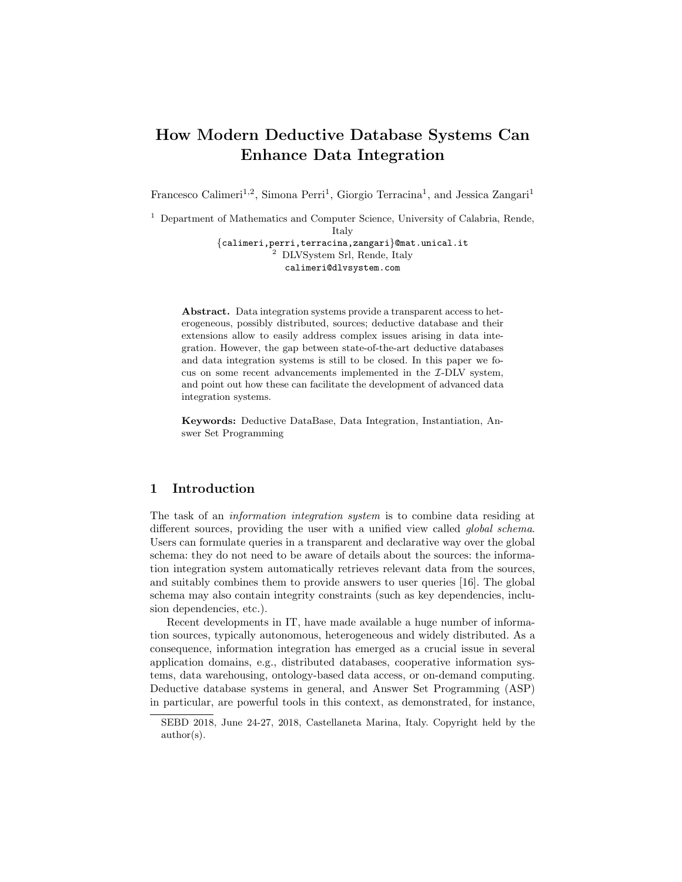# How Modern Deductive Database Systems Can Enhance Data Integration

Francesco Calimeri<sup>1,2</sup>, Simona Perri<sup>1</sup>, Giorgio Terracina<sup>1</sup>, and Jessica Zangari<sup>1</sup>

<sup>1</sup> Department of Mathematics and Computer Science, University of Calabria, Rende, Italy

{calimeri,perri,terracina,zangari}@mat.unical.it <sup>2</sup> DLVSystem Srl, Rende, Italy calimeri@dlvsystem.com

Abstract. Data integration systems provide a transparent access to heterogeneous, possibly distributed, sources; deductive database and their extensions allow to easily address complex issues arising in data integration. However, the gap between state-of-the-art deductive databases and data integration systems is still to be closed. In this paper we focus on some recent advancements implemented in the I-DLV system, and point out how these can facilitate the development of advanced data integration systems.

Keywords: Deductive DataBase, Data Integration, Instantiation, Answer Set Programming

## 1 Introduction

The task of an information integration system is to combine data residing at different sources, providing the user with a unified view called *global schema*. Users can formulate queries in a transparent and declarative way over the global schema: they do not need to be aware of details about the sources: the information integration system automatically retrieves relevant data from the sources, and suitably combines them to provide answers to user queries [16]. The global schema may also contain integrity constraints (such as key dependencies, inclusion dependencies, etc.).

Recent developments in IT, have made available a huge number of information sources, typically autonomous, heterogeneous and widely distributed. As a consequence, information integration has emerged as a crucial issue in several application domains, e.g., distributed databases, cooperative information systems, data warehousing, ontology-based data access, or on-demand computing. Deductive database systems in general, and Answer Set Programming (ASP) in particular, are powerful tools in this context, as demonstrated, for instance,

SEBD 2018, June 24-27, 2018, Castellaneta Marina, Italy. Copyright held by the author(s).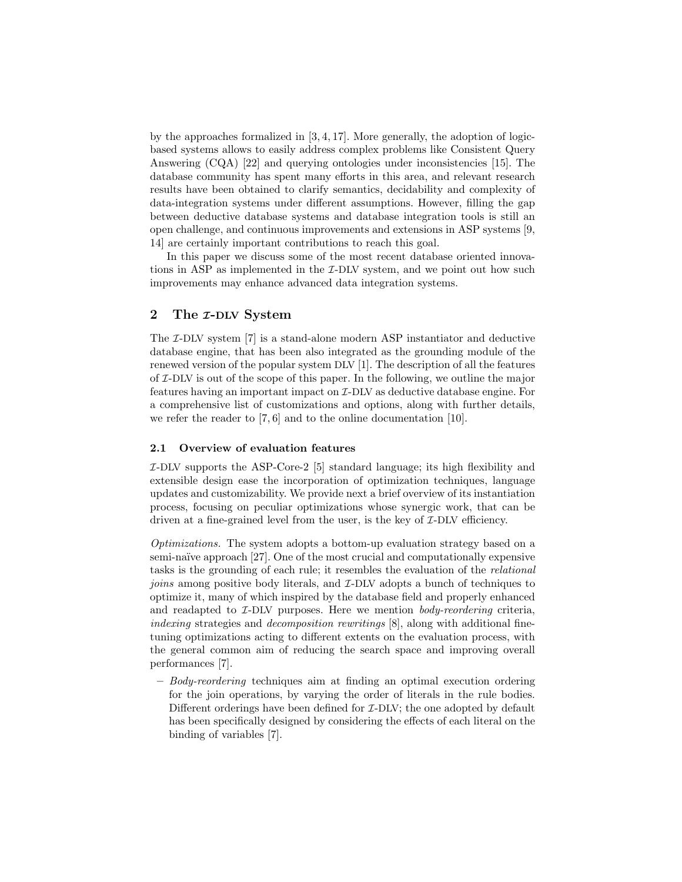by the approaches formalized in  $[3, 4, 17]$ . More generally, the adoption of logicbased systems allows to easily address complex problems like Consistent Query Answering (CQA) [22] and querying ontologies under inconsistencies [15]. The database community has spent many efforts in this area, and relevant research results have been obtained to clarify semantics, decidability and complexity of data-integration systems under different assumptions. However, filling the gap between deductive database systems and database integration tools is still an open challenge, and continuous improvements and extensions in ASP systems [9, 14] are certainly important contributions to reach this goal.

In this paper we discuss some of the most recent database oriented innovations in ASP as implemented in the I-DLV system, and we point out how such improvements may enhance advanced data integration systems.

## 2 The *x*-DLV System

The *I*-DLV system [7] is a stand-alone modern ASP instantiator and deductive database engine, that has been also integrated as the grounding module of the renewed version of the popular system DLV [1]. The description of all the features of I-DLV is out of the scope of this paper. In the following, we outline the major features having an important impact on I-DLV as deductive database engine. For a comprehensive list of customizations and options, along with further details, we refer the reader to [7, 6] and to the online documentation [10].

#### 2.1 Overview of evaluation features

 $I$ -DLV supports the ASP-Core-2 [5] standard language; its high flexibility and extensible design ease the incorporation of optimization techniques, language updates and customizability. We provide next a brief overview of its instantiation process, focusing on peculiar optimizations whose synergic work, that can be driven at a fine-grained level from the user, is the key of  $\mathcal{I}-\text{DLV}$  efficiency.

Optimizations. The system adopts a bottom-up evaluation strategy based on a semi-naïve approach [27]. One of the most crucial and computationally expensive tasks is the grounding of each rule; it resembles the evaluation of the relational joins among positive body literals, and I-DLV adopts a bunch of techniques to optimize it, many of which inspired by the database field and properly enhanced and readapted to  $I$ -DLV purposes. Here we mention *body-reordering* criteria, indexing strategies and *decomposition rewritings* [8], along with additional finetuning optimizations acting to different extents on the evaluation process, with the general common aim of reducing the search space and improving overall performances [7].

– Body-reordering techniques aim at finding an optimal execution ordering for the join operations, by varying the order of literals in the rule bodies. Different orderings have been defined for *T*-DLV; the one adopted by default has been specifically designed by considering the effects of each literal on the binding of variables [7].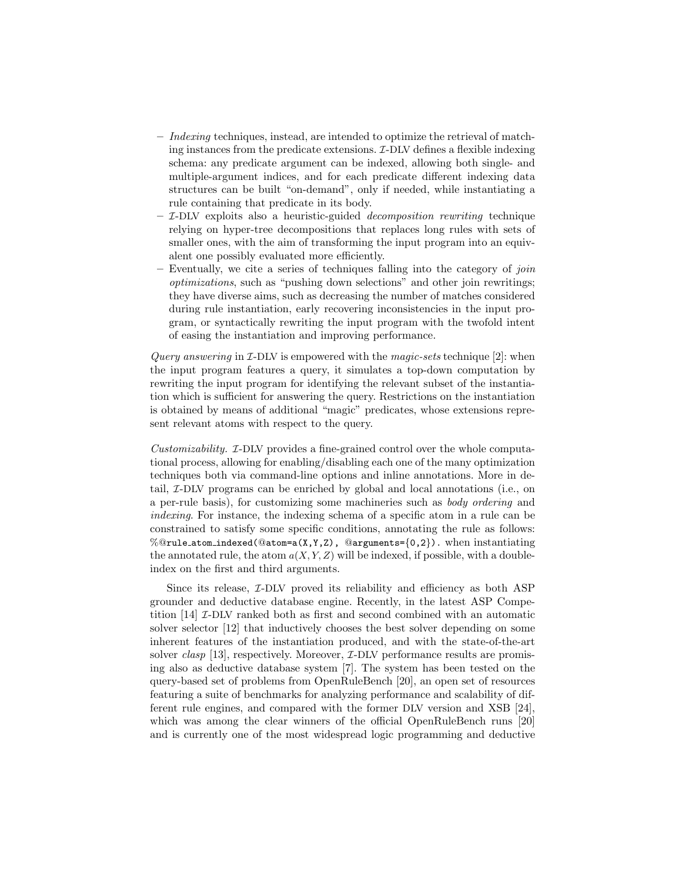- $-$  Indexing techniques, instead, are intended to optimize the retrieval of matching instances from the predicate extensions.  $I$ -DLV defines a flexible indexing schema: any predicate argument can be indexed, allowing both single- and multiple-argument indices, and for each predicate different indexing data structures can be built "on-demand", only if needed, while instantiating a rule containing that predicate in its body.
- $-$  *T*-DLV exploits also a heuristic-guided *decomposition rewriting* technique relying on hyper-tree decompositions that replaces long rules with sets of smaller ones, with the aim of transforming the input program into an equivalent one possibly evaluated more efficiently.
- Eventually, we cite a series of techniques falling into the category of join optimizations, such as "pushing down selections" and other join rewritings; they have diverse aims, such as decreasing the number of matches considered during rule instantiation, early recovering inconsistencies in the input program, or syntactically rewriting the input program with the twofold intent of easing the instantiation and improving performance.

*Query answering* in  $\mathcal{I}-\text{DLV}$  is empowered with the *magic-sets* technique [2]: when the input program features a query, it simulates a top-down computation by rewriting the input program for identifying the relevant subset of the instantiation which is sufficient for answering the query. Restrictions on the instantiation is obtained by means of additional "magic" predicates, whose extensions represent relevant atoms with respect to the query.

Customizability. I-DLV provides a fine-grained control over the whole computational process, allowing for enabling/disabling each one of the many optimization techniques both via command-line options and inline annotations. More in detail, I-DLV programs can be enriched by global and local annotations (i.e., on a per-rule basis), for customizing some machineries such as body ordering and indexing. For instance, the indexing schema of a specific atom in a rule can be constrained to satisfy some specific conditions, annotating the rule as follows: %@rule\_atom\_indexed(@atom=a(X,Y,Z), @arguments={0,2}). when instantiating the annotated rule, the atom  $a(X, Y, Z)$  will be indexed, if possible, with a doubleindex on the first and third arguments.

Since its release,  $I$ -DLV proved its reliability and efficiency as both ASP grounder and deductive database engine. Recently, in the latest ASP Competition [14] I-DLV ranked both as first and second combined with an automatic solver selector [12] that inductively chooses the best solver depending on some inherent features of the instantiation produced, and with the state-of-the-art solver *clasp* [13], respectively. Moreover,  $I$ -DLV performance results are promising also as deductive database system [7]. The system has been tested on the query-based set of problems from OpenRuleBench [20], an open set of resources featuring a suite of benchmarks for analyzing performance and scalability of different rule engines, and compared with the former DLV version and XSB [24], which was among the clear winners of the official OpenRuleBench runs [20] and is currently one of the most widespread logic programming and deductive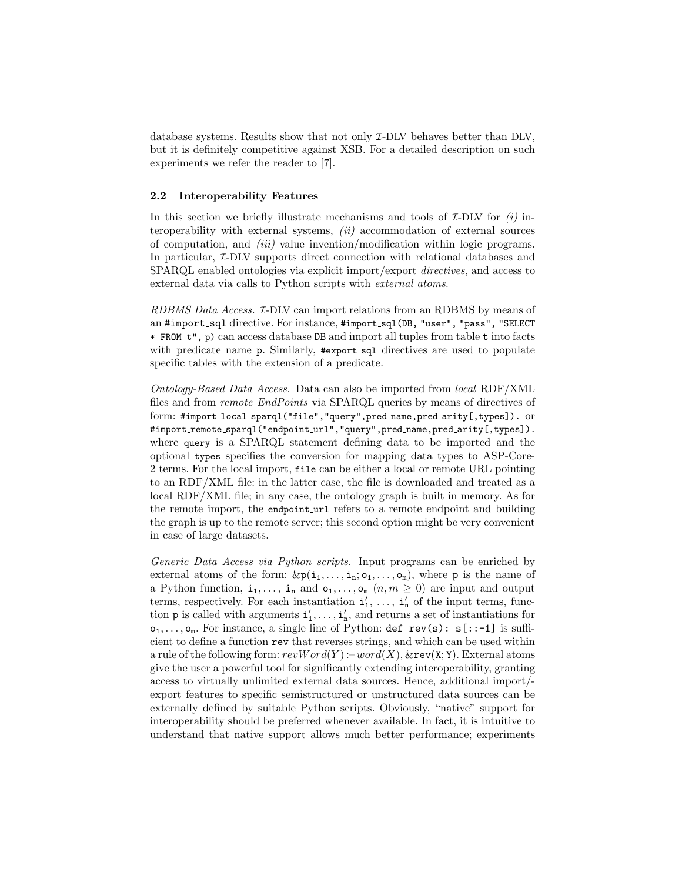database systems. Results show that not only I-DLV behaves better than DLV, but it is definitely competitive against XSB. For a detailed description on such experiments we refer the reader to [7].

#### 2.2 Interoperability Features

In this section we briefly illustrate mechanisms and tools of  $\mathcal{I}-\text{DLV}$  for  $(i)$  interoperability with external systems,  $(ii)$  accommodation of external sources of computation, and  $(iii)$  value invention/modification within logic programs. In particular, *I*-DLV supports direct connection with relational databases and SPARQL enabled ontologies via explicit import/export directives, and access to external data via calls to Python scripts with external atoms.

RDBMS Data Access. I-DLV can import relations from an RDBMS by means of an #import\_sql directive. For instance, #import\_sql(DB, "user", "pass", "SELECT \* FROM t", p) can access database DB and import all tuples from table t into facts with predicate name p. Similarly, #export\_sql directives are used to populate specific tables with the extension of a predicate.

Ontology-Based Data Access. Data can also be imported from local RDF/XML files and from remote EndPoints via SPARQL queries by means of directives of form: #import local sparql("file","query",pred name,pred arity[,types]). or #import\_remote\_sparql("endpoint\_url","query",pred\_name,pred\_arity[,types]). where query is a SPARQL statement defining data to be imported and the optional types specifies the conversion for mapping data types to ASP-Core-2 terms. For the local import, file can be either a local or remote URL pointing to an RDF/XML file: in the latter case, the file is downloaded and treated as a local RDF/XML file; in any case, the ontology graph is built in memory. As for the remote import, the endpoint\_url refers to a remote endpoint and building the graph is up to the remote server; this second option might be very convenient in case of large datasets.

Generic Data Access via Python scripts. Input programs can be enriched by external atoms of the form:  $\&p(i_1,\ldots,i_n;\mathsf{o}_1,\ldots,\mathsf{o}_m)$ , where p is the name of a Python function,  $i_1, \ldots, i_n$  and  $o_1, \ldots, o_m$   $(n, m \ge 0)$  are input and output terms, respectively. For each instantiation  $\mathbf{i}'_1, \ldots, \mathbf{i}'_n$  of the input terms, function **p** is called with arguments  $i'_1, \ldots, i'_n$ , and returns a set of instantiations for  $o_1, \ldots, o_m$ . For instance, a single line of Python: def rev(s):  $s$ [::-1] is sufficient to define a function rev that reverses strings, and which can be used within a rule of the following form:  $revWord(Y)$ : – $word(X)$ ,  $&$ rev(X; Y). External atoms give the user a powerful tool for significantly extending interoperability, granting access to virtually unlimited external data sources. Hence, additional import/ export features to specific semistructured or unstructured data sources can be externally defined by suitable Python scripts. Obviously, "native" support for interoperability should be preferred whenever available. In fact, it is intuitive to understand that native support allows much better performance; experiments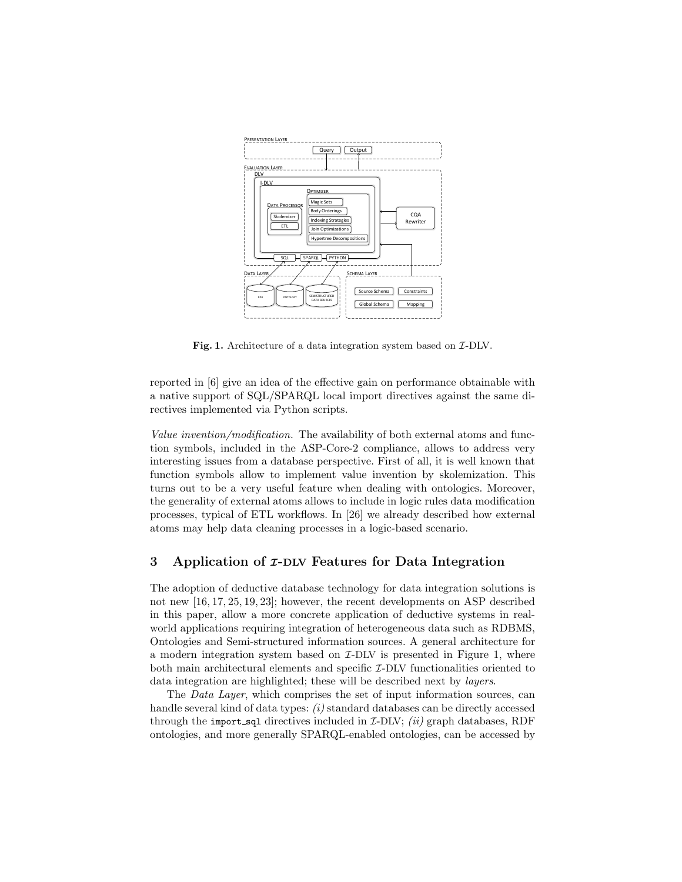

Fig. 1. Architecture of a data integration system based on  $\mathcal{I}\text{-DLV}$ .

reported in [6] give an idea of the effective gain on performance obtainable with a native support of SQL/SPARQL local import directives against the same directives implemented via Python scripts.

Value invention/modification. The availability of both external atoms and function symbols, included in the ASP-Core-2 compliance, allows to address very interesting issues from a database perspective. First of all, it is well known that function symbols allow to implement value invention by skolemization. This turns out to be a very useful feature when dealing with ontologies. Moreover, the generality of external atoms allows to include in logic rules data modification processes, typical of ETL workflows. In [26] we already described how external atoms may help data cleaning processes in a logic-based scenario.

## 3 Application of  $z$ -DLV Features for Data Integration

The adoption of deductive database technology for data integration solutions is not new [16, 17, 25, 19, 23]; however, the recent developments on ASP described in this paper, allow a more concrete application of deductive systems in realworld applications requiring integration of heterogeneous data such as RDBMS, Ontologies and Semi-structured information sources. A general architecture for a modern integration system based on  $I$ -DLV is presented in Figure 1, where both main architectural elements and specific *I*-DLV functionalities oriented to data integration are highlighted; these will be described next by layers.

The Data Layer, which comprises the set of input information sources, can handle several kind of data types:  $(i)$  standard databases can be directly accessed through the import sql directives included in  $I$ -DLV; *(ii)* graph databases, RDF ontologies, and more generally SPARQL-enabled ontologies, can be accessed by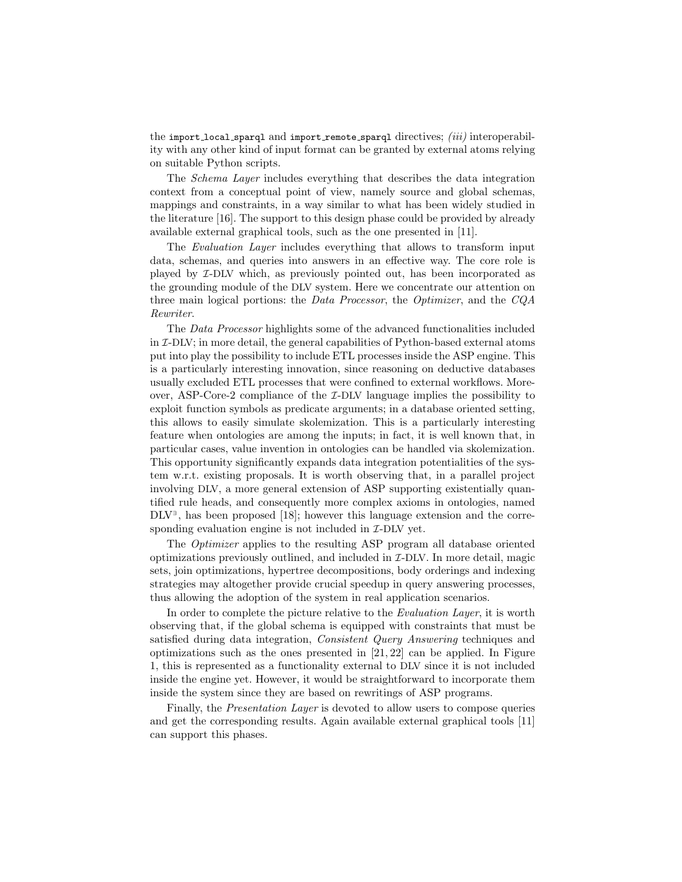the import local sparql and import remote sparql directives;  $(iii)$  interoperability with any other kind of input format can be granted by external atoms relying on suitable Python scripts.

The Schema Layer includes everything that describes the data integration context from a conceptual point of view, namely source and global schemas, mappings and constraints, in a way similar to what has been widely studied in the literature [16]. The support to this design phase could be provided by already available external graphical tools, such as the one presented in [11].

The *Evaluation Layer* includes everything that allows to transform input data, schemas, and queries into answers in an effective way. The core role is played by I-DLV which, as previously pointed out, has been incorporated as the grounding module of the DLV system. Here we concentrate our attention on three main logical portions: the Data Processor, the Optimizer, and the CQA Rewriter.

The Data Processor highlights some of the advanced functionalities included in I-DLV; in more detail, the general capabilities of Python-based external atoms put into play the possibility to include ETL processes inside the ASP engine. This is a particularly interesting innovation, since reasoning on deductive databases usually excluded ETL processes that were confined to external workflows. Moreover, ASP-Core-2 compliance of the  $I$ -DLV language implies the possibility to exploit function symbols as predicate arguments; in a database oriented setting, this allows to easily simulate skolemization. This is a particularly interesting feature when ontologies are among the inputs; in fact, it is well known that, in particular cases, value invention in ontologies can be handled via skolemization. This opportunity significantly expands data integration potentialities of the system w.r.t. existing proposals. It is worth observing that, in a parallel project involving DLV, a more general extension of ASP supporting existentially quantified rule heads, and consequently more complex axioms in ontologies, named DLV<sup>∃</sup> , has been proposed [18]; however this language extension and the corresponding evaluation engine is not included in  $\mathcal{I}-\text{DLV}$  yet.

The Optimizer applies to the resulting ASP program all database oriented optimizations previously outlined, and included in I-DLV. In more detail, magic sets, join optimizations, hypertree decompositions, body orderings and indexing strategies may altogether provide crucial speedup in query answering processes, thus allowing the adoption of the system in real application scenarios.

In order to complete the picture relative to the Evaluation Layer, it is worth observing that, if the global schema is equipped with constraints that must be satisfied during data integration, Consistent Query Answering techniques and optimizations such as the ones presented in [21, 22] can be applied. In Figure 1, this is represented as a functionality external to DLV since it is not included inside the engine yet. However, it would be straightforward to incorporate them inside the system since they are based on rewritings of ASP programs.

Finally, the Presentation Layer is devoted to allow users to compose queries and get the corresponding results. Again available external graphical tools [11] can support this phases.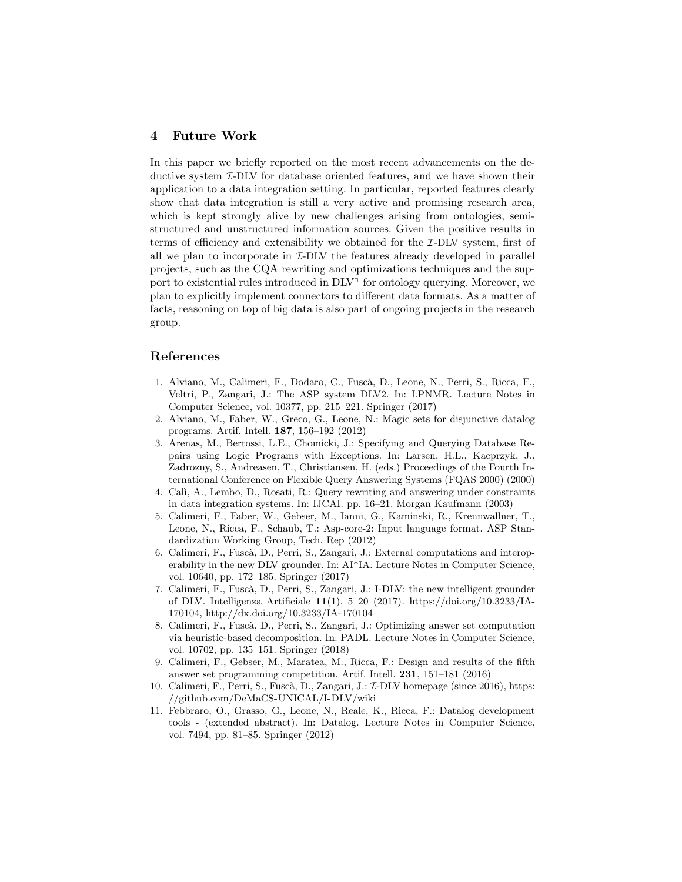# 4 Future Work

In this paper we briefly reported on the most recent advancements on the deductive system I-DLV for database oriented features, and we have shown their application to a data integration setting. In particular, reported features clearly show that data integration is still a very active and promising research area, which is kept strongly alive by new challenges arising from ontologies, semistructured and unstructured information sources. Given the positive results in terms of efficiency and extensibility we obtained for the  $I-DLV$  system, first of all we plan to incorporate in  $I$ -DLV the features already developed in parallel projects, such as the CQA rewriting and optimizations techniques and the support to existential rules introduced in DLV<sup>∃</sup> for ontology querying. Moreover, we plan to explicitly implement connectors to different data formats. As a matter of facts, reasoning on top of big data is also part of ongoing projects in the research group.

## References

- 1. Alviano, M., Calimeri, F., Dodaro, C., Fusc`a, D., Leone, N., Perri, S., Ricca, F., Veltri, P., Zangari, J.: The ASP system DLV2. In: LPNMR. Lecture Notes in Computer Science, vol. 10377, pp. 215–221. Springer (2017)
- 2. Alviano, M., Faber, W., Greco, G., Leone, N.: Magic sets for disjunctive datalog programs. Artif. Intell. 187, 156–192 (2012)
- 3. Arenas, M., Bertossi, L.E., Chomicki, J.: Specifying and Querying Database Repairs using Logic Programs with Exceptions. In: Larsen, H.L., Kacprzyk, J., Zadrozny, S., Andreasen, T., Christiansen, H. (eds.) Proceedings of the Fourth International Conference on Flexible Query Answering Systems (FQAS 2000) (2000)
- 4. Cal`ı, A., Lembo, D., Rosati, R.: Query rewriting and answering under constraints in data integration systems. In: IJCAI. pp. 16–21. Morgan Kaufmann (2003)
- 5. Calimeri, F., Faber, W., Gebser, M., Ianni, G., Kaminski, R., Krennwallner, T., Leone, N., Ricca, F., Schaub, T.: Asp-core-2: Input language format. ASP Standardization Working Group, Tech. Rep (2012)
- 6. Calimeri, F., Fusc`a, D., Perri, S., Zangari, J.: External computations and interoperability in the new DLV grounder. In: AI\*IA. Lecture Notes in Computer Science, vol. 10640, pp. 172–185. Springer (2017)
- 7. Calimeri, F., Fuscà, D., Perri, S., Zangari, J.: I-DLV: the new intelligent grounder of DLV. Intelligenza Artificiale  $11(1)$ , 5-20 (2017). https://doi.org/10.3233/IA-170104, http://dx.doi.org/10.3233/IA-170104
- 8. Calimeri, F., Fusc`a, D., Perri, S., Zangari, J.: Optimizing answer set computation via heuristic-based decomposition. In: PADL. Lecture Notes in Computer Science, vol. 10702, pp. 135–151. Springer (2018)
- 9. Calimeri, F., Gebser, M., Maratea, M., Ricca, F.: Design and results of the fifth answer set programming competition. Artif. Intell. 231, 151–181 (2016)
- 10. Calimeri, F., Perri, S., Fuscà, D., Zangari, J.: *I*-DLV homepage (since 2016), https: //github.com/DeMaCS-UNICAL/I-DLV/wiki
- 11. Febbraro, O., Grasso, G., Leone, N., Reale, K., Ricca, F.: Datalog development tools - (extended abstract). In: Datalog. Lecture Notes in Computer Science, vol. 7494, pp. 81–85. Springer (2012)